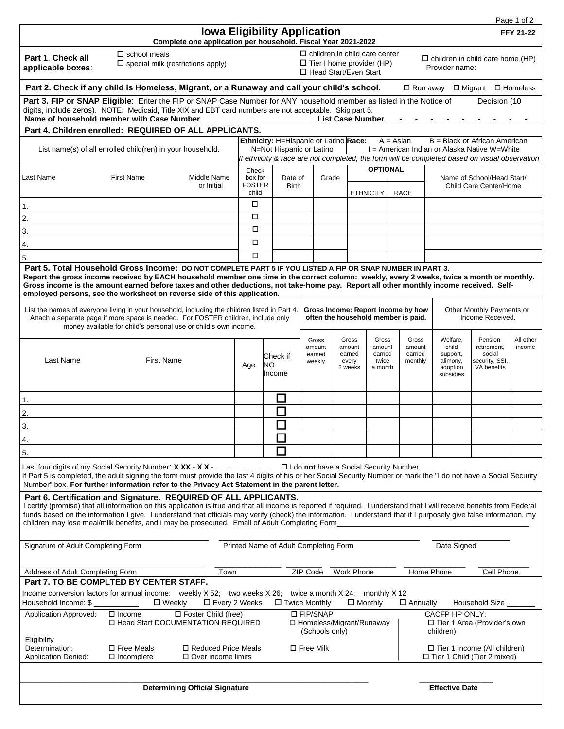|                                                                                                                                                                                                                                                                                                                                                                                                                                                                                                                      |                                                                                                                                                                                                                                                                                                                                                                                           |                                                                                                                                                                    |                                                                       |                                     |                                     |                                                                                                     |                                               |                                               |                                                                     |                                                                    |                                                                    | Page 1 of 2         |
|----------------------------------------------------------------------------------------------------------------------------------------------------------------------------------------------------------------------------------------------------------------------------------------------------------------------------------------------------------------------------------------------------------------------------------------------------------------------------------------------------------------------|-------------------------------------------------------------------------------------------------------------------------------------------------------------------------------------------------------------------------------------------------------------------------------------------------------------------------------------------------------------------------------------------|--------------------------------------------------------------------------------------------------------------------------------------------------------------------|-----------------------------------------------------------------------|-------------------------------------|-------------------------------------|-----------------------------------------------------------------------------------------------------|-----------------------------------------------|-----------------------------------------------|---------------------------------------------------------------------|--------------------------------------------------------------------|--------------------------------------------------------------------|---------------------|
|                                                                                                                                                                                                                                                                                                                                                                                                                                                                                                                      |                                                                                                                                                                                                                                                                                                                                                                                           | Complete one application per household. Fiscal Year 2021-2022                                                                                                      |                                                                       | <b>Iowa Eligibility Application</b> |                                     |                                                                                                     |                                               |                                               |                                                                     |                                                                    |                                                                    | <b>FFY 21-22</b>    |
| Part 1. Check all<br>applicable boxes:                                                                                                                                                                                                                                                                                                                                                                                                                                                                               | $\Box$ school meals<br>$\square$ special milk (restrictions apply)                                                                                                                                                                                                                                                                                                                        |                                                                                                                                                                    |                                                                       |                                     |                                     | $\Box$ children in child care center<br>$\Box$ Tier I home provider (HP)<br>□ Head Start/Even Start |                                               |                                               |                                                                     | $\Box$ children in child care home (HP)<br>Provider name:          |                                                                    |                     |
| Part 2. Check if any child is Homeless, Migrant, or a Runaway and call your child's school.<br>□ Run away □ Migrant □ Homeless                                                                                                                                                                                                                                                                                                                                                                                       |                                                                                                                                                                                                                                                                                                                                                                                           |                                                                                                                                                                    |                                                                       |                                     |                                     |                                                                                                     |                                               |                                               |                                                                     |                                                                    |                                                                    |                     |
| Part 3. FIP or SNAP Eligible: Enter the FIP or SNAP Case Number for ANY household member as listed in the Notice of<br>Decision (10<br>digits, include zeros). NOTE: Medicaid, Title XIX and EBT card numbers are not acceptable. Skip part 5.<br>Name of household member with Case Number<br><b>List Case Number</b>                                                                                                                                                                                               |                                                                                                                                                                                                                                                                                                                                                                                           |                                                                                                                                                                    |                                                                       |                                     |                                     |                                                                                                     |                                               |                                               |                                                                     |                                                                    |                                                                    |                     |
| Part 4. Children enrolled: REQUIRED OF ALL APPLICANTS.                                                                                                                                                                                                                                                                                                                                                                                                                                                               |                                                                                                                                                                                                                                                                                                                                                                                           |                                                                                                                                                                    |                                                                       |                                     |                                     |                                                                                                     |                                               |                                               |                                                                     |                                                                    |                                                                    |                     |
| List name(s) of all enrolled child(ren) in your household.                                                                                                                                                                                                                                                                                                                                                                                                                                                           |                                                                                                                                                                                                                                                                                                                                                                                           | Ethnicity: H=Hispanic or Latino Race:<br>N=Not Hispanic or Latino<br>If ethnicity & race are not completed, the form will be completed based on visual observation |                                                                       |                                     |                                     | B = Black or African American<br>$A = Asian$<br>I = American Indian or Alaska Native W=White        |                                               |                                               |                                                                     |                                                                    |                                                                    |                     |
|                                                                                                                                                                                                                                                                                                                                                                                                                                                                                                                      |                                                                                                                                                                                                                                                                                                                                                                                           |                                                                                                                                                                    | Check<br>box for<br>Date of<br><b>FOSTER</b><br><b>Birth</b><br>child |                                     |                                     |                                                                                                     | <b>OPTIONAL</b>                               |                                               |                                                                     |                                                                    |                                                                    |                     |
| Last Name                                                                                                                                                                                                                                                                                                                                                                                                                                                                                                            | <b>First Name</b>                                                                                                                                                                                                                                                                                                                                                                         | Middle Name<br>or Initial                                                                                                                                          |                                                                       |                                     |                                     | Grade                                                                                               | <b>ETHNICITY</b>                              |                                               | <b>RACE</b>                                                         | Name of School/Head Start/<br>Child Care Center/Home               |                                                                    |                     |
| 1.                                                                                                                                                                                                                                                                                                                                                                                                                                                                                                                   |                                                                                                                                                                                                                                                                                                                                                                                           |                                                                                                                                                                    | О                                                                     |                                     |                                     |                                                                                                     |                                               |                                               |                                                                     |                                                                    |                                                                    |                     |
| 2.                                                                                                                                                                                                                                                                                                                                                                                                                                                                                                                   |                                                                                                                                                                                                                                                                                                                                                                                           |                                                                                                                                                                    | $\Box$                                                                |                                     |                                     |                                                                                                     |                                               |                                               |                                                                     |                                                                    |                                                                    |                     |
| 3.                                                                                                                                                                                                                                                                                                                                                                                                                                                                                                                   |                                                                                                                                                                                                                                                                                                                                                                                           |                                                                                                                                                                    | П                                                                     |                                     |                                     |                                                                                                     |                                               |                                               |                                                                     |                                                                    |                                                                    |                     |
| 4.                                                                                                                                                                                                                                                                                                                                                                                                                                                                                                                   |                                                                                                                                                                                                                                                                                                                                                                                           |                                                                                                                                                                    | П                                                                     |                                     |                                     |                                                                                                     |                                               |                                               |                                                                     |                                                                    |                                                                    |                     |
| 5.                                                                                                                                                                                                                                                                                                                                                                                                                                                                                                                   |                                                                                                                                                                                                                                                                                                                                                                                           |                                                                                                                                                                    | □                                                                     |                                     |                                     |                                                                                                     |                                               |                                               |                                                                     |                                                                    |                                                                    |                     |
| Part 5. Total Household Gross Income: DO NOT COMPLETE PART 5 IF YOU LISTED A FIP OR SNAP NUMBER IN PART 3.<br>Report the gross income received by EACH household member one time in the correct column: weekly, every 2 weeks, twice a month or monthly.<br>Gross income is the amount earned before taxes and other deductions, not take-home pay. Report all other monthly income received. Self-<br>employed persons, see the worksheet on reverse side of this application.                                      |                                                                                                                                                                                                                                                                                                                                                                                           |                                                                                                                                                                    |                                                                       |                                     |                                     |                                                                                                     |                                               |                                               |                                                                     |                                                                    |                                                                    |                     |
| List the names of everyone living in your household, including the children listed in Part 4.<br>Attach a separate page if more space is needed. For FOSTER children, include only<br>money available for child's personal use or child's own income.                                                                                                                                                                                                                                                                |                                                                                                                                                                                                                                                                                                                                                                                           |                                                                                                                                                                    |                                                                       |                                     |                                     | Gross Income: Report income by how<br>often the household member is paid.                           |                                               |                                               |                                                                     | Other Monthly Payments or<br>Income Received.                      |                                                                    |                     |
| Last Name                                                                                                                                                                                                                                                                                                                                                                                                                                                                                                            | <b>First Name</b>                                                                                                                                                                                                                                                                                                                                                                         |                                                                                                                                                                    | Age                                                                   | Check if<br>NO.<br>Income           | Gross<br>amount<br>earned<br>weekly |                                                                                                     | Gross<br>amount<br>earned<br>every<br>2 weeks | Gross<br>amount<br>earned<br>twice<br>a month | Gross<br>amount<br>earned<br>monthly                                | Welfare,<br>child<br>support,<br>alimony,<br>adoption<br>subsidies | Pension,<br>retirement,<br>social<br>security, SSI,<br>VA benefits | All other<br>income |
| 1.                                                                                                                                                                                                                                                                                                                                                                                                                                                                                                                   |                                                                                                                                                                                                                                                                                                                                                                                           |                                                                                                                                                                    |                                                                       | J.                                  |                                     |                                                                                                     |                                               |                                               |                                                                     |                                                                    |                                                                    |                     |
| 2.                                                                                                                                                                                                                                                                                                                                                                                                                                                                                                                   |                                                                                                                                                                                                                                                                                                                                                                                           |                                                                                                                                                                    |                                                                       | $\mathcal{L}$                       |                                     |                                                                                                     |                                               |                                               |                                                                     |                                                                    |                                                                    |                     |
| 3.                                                                                                                                                                                                                                                                                                                                                                                                                                                                                                                   |                                                                                                                                                                                                                                                                                                                                                                                           |                                                                                                                                                                    |                                                                       | П                                   |                                     |                                                                                                     |                                               |                                               |                                                                     |                                                                    |                                                                    |                     |
| 4.                                                                                                                                                                                                                                                                                                                                                                                                                                                                                                                   |                                                                                                                                                                                                                                                                                                                                                                                           |                                                                                                                                                                    |                                                                       |                                     |                                     |                                                                                                     |                                               |                                               |                                                                     |                                                                    |                                                                    |                     |
| 5.                                                                                                                                                                                                                                                                                                                                                                                                                                                                                                                   |                                                                                                                                                                                                                                                                                                                                                                                           |                                                                                                                                                                    |                                                                       |                                     |                                     |                                                                                                     |                                               |                                               |                                                                     |                                                                    |                                                                    |                     |
|                                                                                                                                                                                                                                                                                                                                                                                                                                                                                                                      | Last four digits of my Social Security Number: X XX - X X -<br>________ □ I do not have a Social Security Number.<br>If Part 5 is completed, the adult signing the form must provide the last 4 digits of his or her Social Security Number or mark the "I do not have a Social Security<br>Number" box. For further information refer to the Privacy Act Statement in the parent letter. |                                                                                                                                                                    |                                                                       |                                     |                                     |                                                                                                     |                                               |                                               |                                                                     |                                                                    |                                                                    |                     |
| Part 6. Certification and Signature. REQUIRED OF ALL APPLICANTS.<br>I certify (promise) that all information on this application is true and that all income is reported if required. I understand that I will receive benefits from Federal<br>funds based on the information I give. I understand that officials may verify (check) the information. I understand that if I purposely give false information, my<br>children may lose meal/milk benefits, and I may be prosecuted. Email of Adult Completing Form_ |                                                                                                                                                                                                                                                                                                                                                                                           |                                                                                                                                                                    |                                                                       |                                     |                                     |                                                                                                     |                                               |                                               |                                                                     |                                                                    |                                                                    |                     |
|                                                                                                                                                                                                                                                                                                                                                                                                                                                                                                                      | Signature of Adult Completing Form<br>Printed Name of Adult Completing Form<br>Date Signed                                                                                                                                                                                                                                                                                                |                                                                                                                                                                    |                                                                       |                                     |                                     |                                                                                                     |                                               |                                               |                                                                     |                                                                    |                                                                    |                     |
| Work Phone<br>Home Phone<br>Cell Phone<br>Address of Adult Completing Form<br>Town<br>ZIP Code<br>Part 7. TO BE COMPLTED BY CENTER STAFF.<br>Income conversion factors for annual income: weekly X 52; two weeks X 26; twice a month X 24; monthly X 12                                                                                                                                                                                                                                                              |                                                                                                                                                                                                                                                                                                                                                                                           |                                                                                                                                                                    |                                                                       |                                     |                                     |                                                                                                     |                                               |                                               |                                                                     |                                                                    |                                                                    |                     |
| Household Income: \$                                                                                                                                                                                                                                                                                                                                                                                                                                                                                                 | $\square$ Weekly                                                                                                                                                                                                                                                                                                                                                                          | $\square$ Every 2 Weeks                                                                                                                                            |                                                                       | $\Box$ Twice Monthly                |                                     |                                                                                                     | $\Box$ Monthly                                |                                               | $\Box$ Annually                                                     |                                                                    | Household Size                                                     |                     |
| Application Approved:                                                                                                                                                                                                                                                                                                                                                                                                                                                                                                | $\Box$ Income<br>□ Head Start DOCUMENTATION REQUIRED                                                                                                                                                                                                                                                                                                                                      | □ Foster Child (free)                                                                                                                                              |                                                                       |                                     |                                     | <b>D FIP/SNAP</b><br>□ Homeless/Migrant/Runaway<br>(Schools only)                                   |                                               |                                               | <b>CACFP HP ONLY:</b><br>□ Tier 1 Area (Provider's own<br>children) |                                                                    |                                                                    |                     |
| Eligibility<br>Determination:<br><b>Application Denied:</b>                                                                                                                                                                                                                                                                                                                                                                                                                                                          | □ Free Meals<br>$\Box$ Incomplete                                                                                                                                                                                                                                                                                                                                                         | □ Reduced Price Meals<br>$\Box$ Over income limits                                                                                                                 |                                                                       |                                     |                                     | □ Free Milk                                                                                         |                                               |                                               | □ Tier 1 Income (All children)<br>□ Tier 1 Child (Tier 2 mixed)     |                                                                    |                                                                    |                     |
| <b>Effective Date</b><br><b>Determining Official Signature</b>                                                                                                                                                                                                                                                                                                                                                                                                                                                       |                                                                                                                                                                                                                                                                                                                                                                                           |                                                                                                                                                                    |                                                                       |                                     |                                     |                                                                                                     |                                               |                                               |                                                                     |                                                                    |                                                                    |                     |